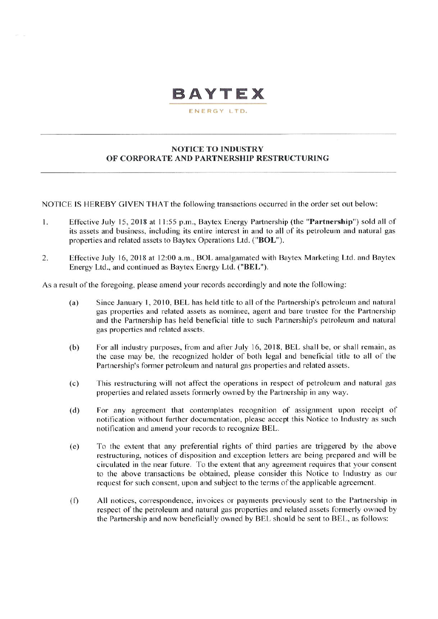# **BAYTEX**

ENERGY LTD.

#### **NOTICE TO INDUSTRY** OF CORPORATE AND PARTNERSHIP RESTRUCTURING

NOTICE IS HEREBY GIVEN THAT the following transactions occurred in the order set out below:

- Effective July 15, 2018 at 11:55 p.m., Baytex Energy Partnership (the "Partnership") sold all of  $1.$ its assets and business, including its entire interest in and to all of its petroleum and natural gas properties and related assets to Baytex Operations Ltd. ("BOL").
- Effective July 16, 2018 at 12:00 a.m., BOL amalgamated with Baytex Marketing Ltd. and Baytex  $2.$ Energy Ltd., and continued as Baytex Energy Ltd. ("BEL").

As a result of the foregoing, please amend your records accordingly and note the following:

- Since January 1, 2010, BEL has held title to all of the Partnership's petroleum and natural  $(a)$ gas properties and related assets as nominee, agent and bare trustee for the Partnership and the Partnership has held beneficial title to such Partnership's petroleum and natural gas properties and related assets.
- For all industry purposes, from and after July 16, 2018, BEL shall be, or shall remain, as  $(b)$ the case may be, the recognized holder of both legal and beneficial title to all of the Partnership's former petroleum and natural gas properties and related assets.
- $(c)$ This restructuring will not affect the operations in respect of petroleum and natural gas properties and related assets formerly owned by the Partnership in any way.
- For any agreement that contemplates recognition of assignment upon receipt of  $(d)$ notification without further documentation, please accept this Notice to Industry as such notification and amend your records to recognize BEL.
- To the extent that any preferential rights of third parties are triggered by the above  $(e)$ restructuring, notices of disposition and exception letters are being prepared and will be circulated in the near future. To the extent that any agreement requires that your consent to the above transactions be obtained, please consider this Notice to Industry as our request for such consent, upon and subject to the terms of the applicable agreement.
- All notices, correspondence, invoices or payments previously sent to the Partnership in  $(f)$ respect of the petroleum and natural gas properties and related assets formerly owned by the Partnership and now beneficially owned by BEL should be sent to BEL, as follows: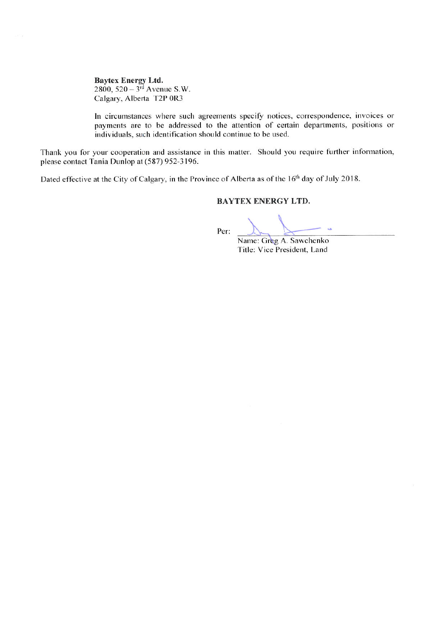**Baytex Energy Ltd.** 2800,  $520 - 3<sup>rd</sup>$  Avenue S.W. Calgary, Alberta T2P 0R3

In circumstances where such agreements specify notices, correspondence, invoices or payments are to be addressed to the attention of certain departments, positions or individuals, such identification should continue to be used.

Thank you for your cooperation and assistance in this matter. Should you require further information, please contact Tania Dunlop at (587) 952-3196.

Dated effective at the City of Calgary, in the Province of Alberta as of the 16<sup>th</sup> day of July 2018.

#### **BAYTEX ENERGY LTD.**

Per:

Name: Greg A. Sawchenko Title: Vice President, Land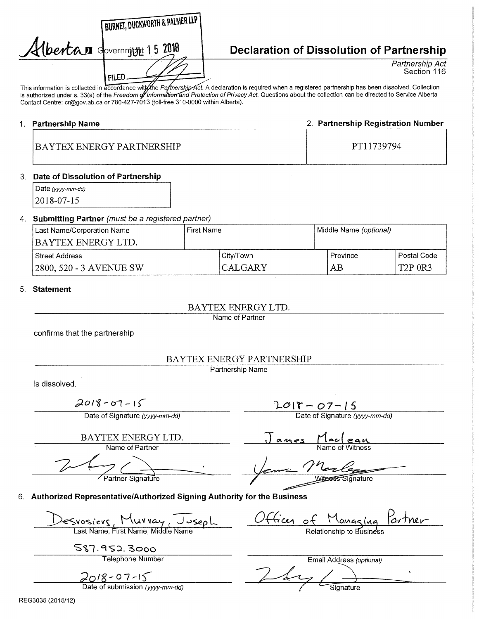| <b>BURNET, DUCKWORTH &amp; PALMER LL</b> |
|------------------------------------------|
| Albertan dovernment 15 2018              |
| FILED.                                   |

# **Declaration of Dissolution of Partnership**

Partnership Act Section 116

This information is collected in accordance with the Partnership Act. A declaration is required when a registered partnership has been dissolved. Collection is authorized under s. 33(a) of the *Freedom di Informati<del>on a</del>nd Protection of Privacy Act.* Questions about the collection can be directed to Service Alberta Contact Centre: cr@gov.ab.ca or 780-427-7013 (toll-free 310-0000 within Alberta).

# 1. Partnership Name 2. Partnership Registration Number BAYTEX ENERGY PARTNERSHIP PT11739794

#### 3. Date of Dissolution of Partnership

Date (yyyy-mm-dd) 2018-07-15

#### 4. Submitting Partner (must be a registered partner)

| Last Name/Corporation Name | First Name |                | Middle Name (optional) |                |
|----------------------------|------------|----------------|------------------------|----------------|
| BAYTEX ENERGY LTD.         |            |                |                        |                |
| Street Address             |            | City/Town      | Province               | Postal Code    |
| 2800, 520 - 3 AVENUE SW    |            | <b>CALGARY</b> | ΑB                     | <b>T2P 0R3</b> |

#### 5. Statement

### BAYTEX ENERGY LTD.

Name of Partner

confirms that the partnership

### BAYTEX ENERGY PARTNERSHIP

Partnership Name

is dissolved.

 $2018 - 67 - 15$ 

Date of Signature (yyyy-mm-dd)

BAYTEX ENERGY LTD. Name of Partner

Partner Signature

 $2018 - 07 - 15$ 

Date of Signature (yyyy-mm-dd)

<u>ames</u> Name of Witness

Witness Signature

6. Authorized Representative/Authorized Signing Authority for the Business

Svosiers, Murray, Joseph

Last Name, First Name, Middle Name

587.952.3000

Telephone Number

<u> 2018 - 07-1</u>

<u>of Managing Partner</u> Relationship to Business

Email Address (optional)  $\ddot{\phantom{1}}$ Date of submission (yyyy-mm-dd) Signature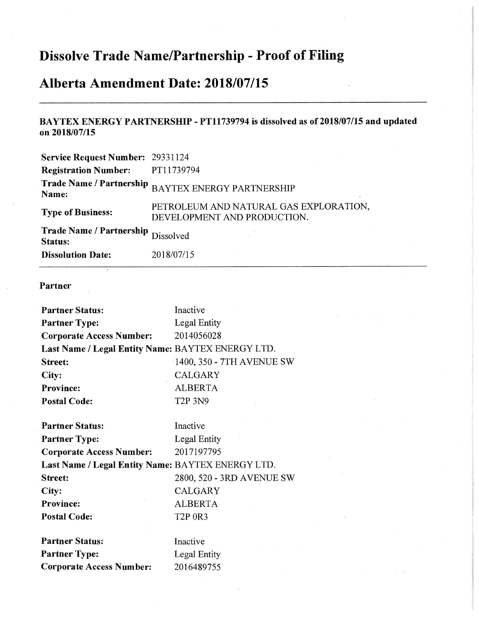# **Dissolve Trade Name/Partnership - Proof of Filing**

# **Alberta Amendment Date: 2018/07/15**

## **BAYTEX ENERGY PARTNERSHIP - PT11739794 is dissolved as of 2018/07/15 and updated on 2018/07/15**

| <b>Service Request Number: 29331124</b>              |                                                                       |
|------------------------------------------------------|-----------------------------------------------------------------------|
| <b>Registration Number:</b>                          | PT11739794                                                            |
| <b>Trade Name / Partnership</b><br>Name:             | <b>BAYTEX ENERGY PARTNERSHIP</b>                                      |
| <b>Type of Business:</b>                             | PETROLEUM AND NATURAL GAS EXPLORATION,<br>DEVELOPMENT AND PRODUCTION. |
| Trade Name / Partnership Dissolved<br><b>Status:</b> |                                                                       |
| <b>Dissolution Date:</b>                             | 2018/07/15                                                            |

### **Partner**

| <b>Partner Status:</b>                            | Inactive                  |
|---------------------------------------------------|---------------------------|
| <b>Partner Type:</b>                              | Legal Entity              |
| <b>Corporate Access Number:</b>                   | 2014056028                |
| Last Name / Legal Entity Name: BAYTEX ENERGY LTD. |                           |
| <b>Street:</b>                                    | 1400, 350 - 7TH AVENUE SW |
| City:                                             | <b>CALGARY</b>            |
| <b>Province:</b>                                  | <b>ALBERTA</b>            |
| <b>Postal Code:</b>                               | <b>T2P 3N9</b>            |
| <b>Partner Status:</b>                            | Inactive                  |
| <b>Partner Type:</b>                              | Legal Entity              |
| <b>Corporate Access Number:</b>                   | 2017197795                |
| Last Name / Legal Entity Name: BAYTEX ENERGY LTD. |                           |
| <b>Street:</b>                                    | 2800, 520 - 3RD AVENUE SW |
| City:                                             | CALGARY                   |
| <b>Province:</b>                                  | <b>ALBERTA</b>            |
| <b>Postal Code:</b>                               | <b>T2P 0R3</b>            |
| <b>Partner Status:</b>                            | Inactive                  |
| <b>Partner Type:</b>                              | Legal Entity              |
| <b>Corporate Access Number:</b>                   | 2016489755                |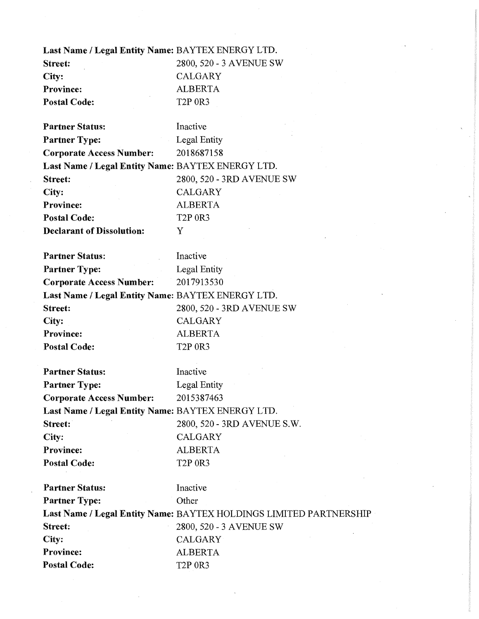| Last Name / Legal Entity Name: BAYTEX ENERGY LTD. |
|---------------------------------------------------|
| 2800, 520 - 3 AVENUE SW                           |
| CALGARY                                           |
| <b>ALBERTA</b>                                    |
| <b>T2P 0R3</b>                                    |
|                                                   |

| <b>Partner Status:</b>                            | Inactive                  |
|---------------------------------------------------|---------------------------|
| <b>Partner Type:</b>                              | <b>Legal Entity</b>       |
| <b>Corporate Access Number:</b>                   | 2018687158                |
| Last Name / Legal Entity Name: BAYTEX ENERGY LTD. |                           |
| Street:                                           | 2800, 520 - 3RD AVENUE SW |
| City:                                             | <b>CALGARY</b>            |
| <b>Province:</b>                                  | <b>ALBERTA</b>            |
| <b>Postal Code:</b>                               | <b>T2P 0R3</b>            |
| <b>Declarant of Dissolution:</b>                  | Y                         |

| <b>Partner Status:</b>                            | Inactive                  |
|---------------------------------------------------|---------------------------|
| <b>Partner Type:</b>                              | Legal Entity              |
| <b>Corporate Access Number:</b>                   | 2017913530                |
| Last Name / Legal Entity Name: BAYTEX ENERGY LTD. |                           |
| <b>Street:</b>                                    | 2800, 520 - 3RD AVENUE SW |
| City:                                             | <b>CALGARY</b>            |
| <b>Province:</b>                                  | <b>ALBERTA</b>            |
| <b>Postal Code:</b>                               | <b>T2P 0R3</b>            |

Partner Status: Inactive Partner Type: Legal Entity **Corporate Access Number:** 2015387463 **Last Name / Legal Entity Name:** BAYTEX ENERGY LTD. **Street:** 2800, 520 - 3RD AVENUE S.W. **City:** CALGARY **Province:** ALBERTA Postal Code: T2P 0R3

| <b>Partner Status:</b> | Inactive                                                           |
|------------------------|--------------------------------------------------------------------|
| <b>Partner Type:</b>   | Other                                                              |
|                        | Last Name / Legal Entity Name: BAYTEX HOLDINGS LIMITED PARTNERSHIP |
| Street:                | 2800, 520 - 3 AVENUE SW                                            |
| City:                  | <b>CALGARY</b>                                                     |
| <b>Province:</b>       | <b>ALBERTA</b>                                                     |
| <b>Postal Code:</b>    | <b>T2P 0R3</b>                                                     |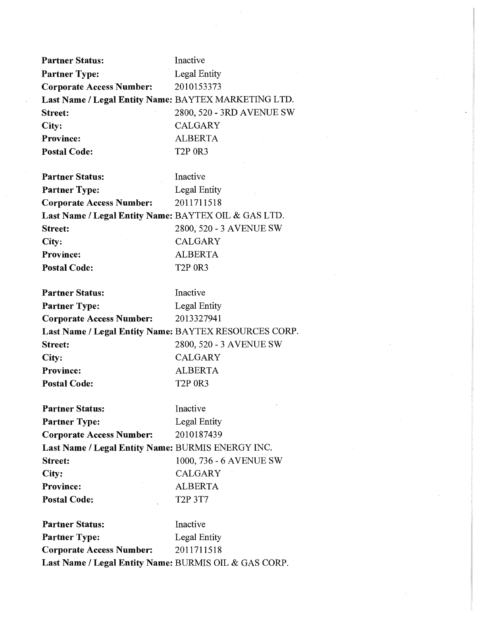| <b>Partner Status:</b>                                | Inactive                                  |
|-------------------------------------------------------|-------------------------------------------|
| <b>Partner Type:</b>                                  | Legal Entity                              |
| <b>Corporate Access Number:</b>                       | 2010153373                                |
| Last Name / Legal Entity Name: BAYTEX MARKETING LTD.  |                                           |
| <b>Street:</b>                                        | 2800, 520 - 3RD AVENUE SW                 |
| City:                                                 | <b>CALGARY</b>                            |
| <b>Province:</b>                                      | <b>ALBERTA</b>                            |
| <b>Postal Code:</b>                                   | <b>T2P 0R3</b>                            |
| <b>Partner Status:</b>                                | Inactive                                  |
|                                                       |                                           |
| <b>Partner Type:</b>                                  | Legal Entity<br>2011711518                |
| <b>Corporate Access Number:</b>                       |                                           |
| Last Name / Legal Entity Name: BAYTEX OIL & GAS LTD.  |                                           |
| <b>Street:</b>                                        | 2800, 520 - 3 AVENUE SW<br><b>CALGARY</b> |
| City:<br><b>Province:</b>                             | <b>ALBERTA</b>                            |
|                                                       |                                           |
| <b>Postal Code:</b>                                   | <b>T2P 0R3</b>                            |
| <b>Partner Status:</b>                                | Inactive                                  |
| <b>Partner Type:</b>                                  | <b>Legal Entity</b>                       |
| <b>Corporate Access Number:</b>                       | 2013327941                                |
| Last Name / Legal Entity Name: BAYTEX RESOURCES CORP. |                                           |
| Street:                                               | 2800, 520 - 3 AVENUE SW                   |
| City:                                                 | <b>CALGARY</b>                            |
| <b>Province:</b>                                      | <b>ALBERTA</b>                            |
| <b>Postal Code:</b>                                   | <b>T2P 0R3</b>                            |
| <b>Partner Status:</b>                                | Inactive                                  |
| <b>Partner Type:</b>                                  | Legal Entity                              |
| <b>Corporate Access Number:</b>                       | 2010187439                                |
| Last Name / Legal Entity Name: BURMIS ENERGY INC.     |                                           |
| Street:                                               | 1000, 736 - 6 AVENUE SW                   |
| City:                                                 | CALGARY                                   |
| <b>Province:</b>                                      | <b>ALBERTA</b>                            |
| <b>Postal Code:</b>                                   | T <sub>2</sub> P 3T <sub>7</sub>          |
| <b>Partner Status:</b>                                | Inactive                                  |
| <b>Partner Type:</b>                                  | <b>Legal Entity</b>                       |
| <b>Corporate Access Number:</b>                       | 2011711518                                |
| Last Name / Legal Entity Name: BURMIS OIL & GAS CORP. |                                           |
|                                                       |                                           |

 $\sim$   $\sim$ 

 $\hat{\boldsymbol{\beta}}$ 

 $\sim$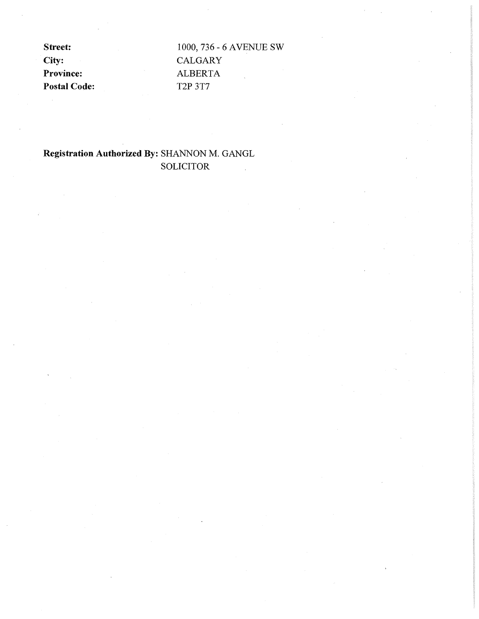City: CALGARY Province: **ALBERTA** Postal Code: T2P 3T7

**Street:** 1000, 736 - 6 AVENUE SW

# **Registration Authorized By:** SHANNON M. GANGL SOLICITOR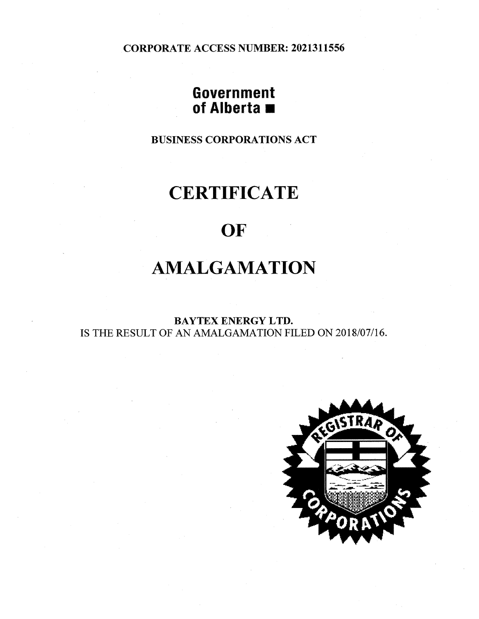CORPORATE ACCESS NUMBER: 2021311556

# **Government of Alberta**  $\blacksquare$

BUSINESS CORPORATIONS ACT

# **CERTIFICATE**

# **OF**

# **AMALGAMATION**

BAYTEX ENERGY LTD. IS THE RESULT OF AN AMALGAMATION FILED ON 2018/07/16.

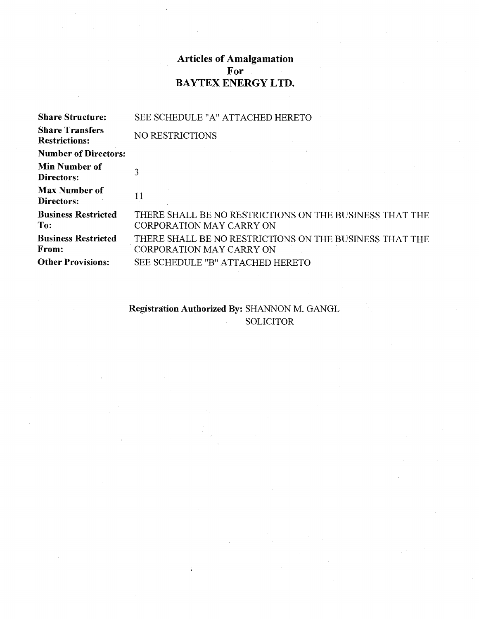## **Articles of Amalgamation For BAYTEX ENERGY LTD.**

| <b>Share Structure:</b>                        | SEE SCHEDULE "A" ATTACHED HERETO                                                           |
|------------------------------------------------|--------------------------------------------------------------------------------------------|
| <b>Share Transfers</b><br><b>Restrictions:</b> | NO RESTRICTIONS                                                                            |
| <b>Number of Directors:</b>                    |                                                                                            |
| <b>Min Number of</b><br>Directors:             |                                                                                            |
| <b>Max Number of</b><br>Directors:             | 11                                                                                         |
| <b>Business Restricted</b><br>To:              | THERE SHALL BE NO RESTRICTIONS ON THE BUSINESS THAT THE<br><b>CORPORATION MAY CARRY ON</b> |
| <b>Business Restricted</b><br>From:            | THERE SHALL BE NO RESTRICTIONS ON THE BUSINESS THAT THE<br><b>CORPORATION MAY CARRY ON</b> |
| <b>Other Provisions:</b>                       | SEE SCHEDULE "B" ATTACHED HERETO                                                           |

## **Registration Authorized By:** SHANNON M. GANGL SOLICITOR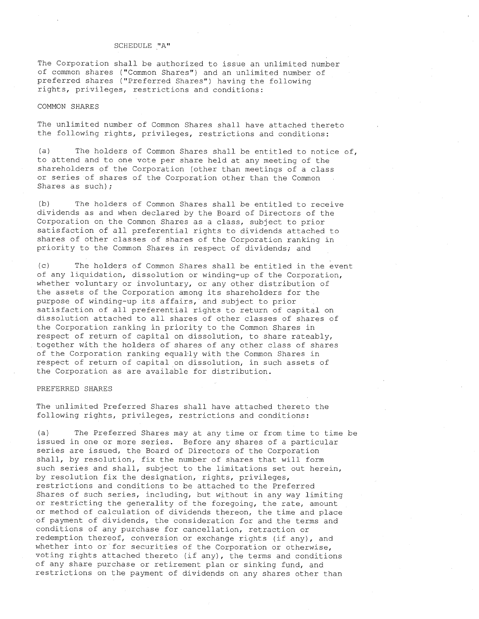#### SCHEDULE "A"

The Corporation shall be authorized to issue an unlimited number of common shares ("Common Shares") and an unlimited number of preferred shares ("Preferred Shares") having the following rights, privileges, restrictions and conditions:

#### COMMON SHARES

The unlimited number of Common Shares shall have attached thereto the following rights, privileges, restrictions and conditions:

(a) The holders of Common Shares shall be entitled to notice of, to attend and to one vote per share held at any meeting of the shareholders of the Corporation (other than meetings of a class or series of shares of the Corporation other than the Common Shares as such);

(b) The holders of Common Shares shall be entitled to receive dividends as and when declared by the Board of Directors of the Corporation on the Common Shares as a class, subject to prior satisfaction of all preferential rights to dividends attached to shares of other classes of shares of the Corporation ranking in priority to the Common Shares in respect of dividends; and

(c) The holders of Common Shares shall be entitled in the event of any liquidation, dissolution or winding-up of the Corporation, whether voluntary or involuntary, or any other distribution of the assets of the Corporation among its shareholders for the purpose of winding-up its affairs, and subject to prior satisfaction of all preferential rights to return of capital on dissolution attached to all shares of other classes of shares of the Corporation ranking in priority to the Common Shares in respect of return of capital on dissolution, to share rateably, together with the holders of shares of any other class of shares of the Corporation ranking equally with the Common Shares in respect of return of capital on dissolution, in such assets of the Corporation as are available for distribution.

#### PREFERRED SHARES

The unlimited Preferred Shares shall have attached thereto the following rights, privileges, restrictions and conditions:

(a) The Preferred Shares may at any time or from time to time be issued in one or more series. Before any shares of a particular series are issued, the Board of Directors of the Corporation shall, by resolution, fix the number of shares that will form such series and shall, subject to the limitations set out herein, by resolution fix the designation, rights, privileges, restrictions and conditions to be attached to the Preferred Shares of such series, including, but without in any way limiting or restricting the generality of the foregoing, the rate, amount or method of calculation of dividends thereon, the time and place of payment of dividends, the consideration for and the terms and conditions of any purchase for cancellation, retraction or redemption thereof, conversion or exchange rights (if any), and whether into or for securities of the Corporation or otherwise, voting rights attached thereto (if any), the terms and conditions of any share purchase or retirement plan or sinking fund, and restrictions on the payment of dividends on any shares other than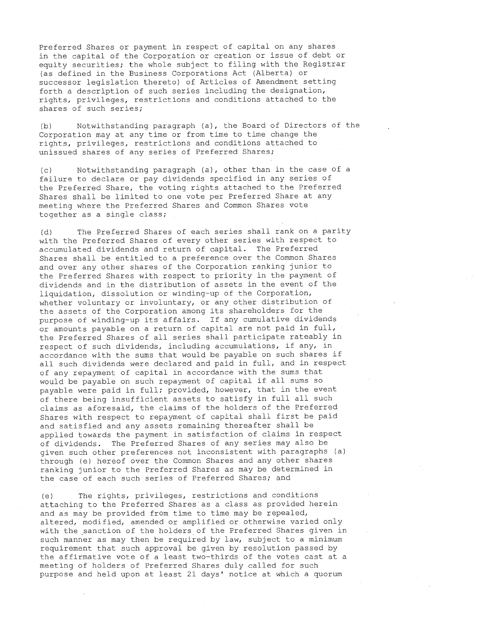Preferred Shares or payment in respect of capital on any shares in the capital of the Corporation or creation or issue of debt or equity securities; the whole subject to filing with the Registrar (as defined in the Business Corporations Act (Alberta) or successor legislation thereto) of Articles of Amendment setting forth a description of such series including the designation, rights, privileges, restrictions and conditions attached to the shares of such series;

(b) Notwithstanding paragraph (a), the Board of Directors of the Corporation may at any time or from time to time change the rights, privileges, restrictions and conditions attached to unissued shares of any series of Preferred Shares;

(c) Notwithstanding paragraph (a), other than in the case of a failure to declare or pay dividends specified in any series of the Preferred Share, the voting rights attached to the Preferred Shares shall be limited to one vote per Preferred Share at any meeting where the Preferred Shares and Common Shares vote together as a single class;

(d) The Preferred Shares of each series shall rank on a parity with the Preferred Shares of every other series with respect to accumulated dividends and return of capital. The Preferred Shares shall be entitled to a preference over the Common Shares and over any other shares of the Corporation ranking junior to the Preferred Shares with respect to priority in the payment of dividends and in the distribution of assets in the event of the liquidation, dissolution or winding-up of the Corporation, whether voluntary or involuntary, or any other distribution of the assets of the Corporation among its shareholders for the purpose of winding-up its affairs. If any cumulative dividends or amounts payable on a return of capital are not paid in full, the Preferred Shares of all series shall participate rateably in respect of such dividends, including accumulations, if any, in accordance with the sums that would be payable on such shares if all such dividends were declared and paid in full, and in respect of any repayment of capital in accordance with the sums that would be payable on such repayment of capital if all sums so payable were paid in full; provided, however, that in the event of there being insufficient assets to satisfy in full all such claims as aforesaid, the claims of the holders of the Preferred Shares with respect to repayment of capital shall first be paid and satisfied and any assets remaining thereafter shall be applied towards the payment in satisfaction of claims in respect of dividends. The Preferred Shares of any series may also be given such other preferences not inconsistent with paragraphs (a) through (e) hereof over the Common Shares and any other shares ranking junior to the Preferred Shares as may be determined in the case of each such series of Preferred Shares; and

(e) The rights, privileges, restrictions and conditions attaching to the Preferred Shares as a class as provided herein and as may be provided from time to time may be repealed, altered, modified, amended or amplified or otherwise varied only with the sanction of the holders of the Preferred Shares given in such manner as may then be required by law, subject to a minimum requirement that such approval be given by resolution passed by the affirmative vote of a least two-thirds of the votes cast at a meeting of holders of Preferred Shares duly called for such purpose and held upon at least 21 days' notice at which a quorum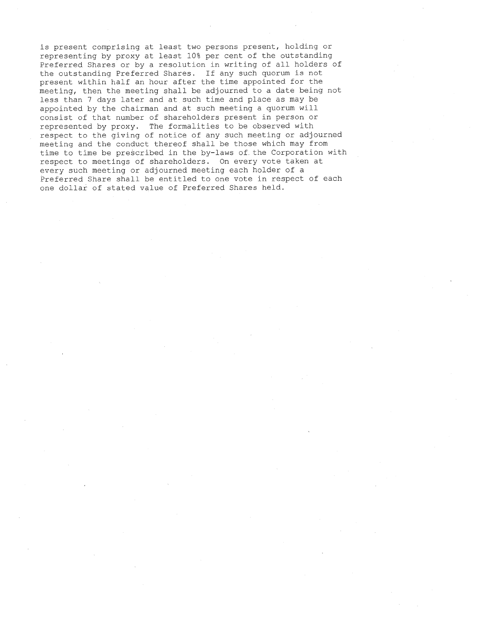is present comprising at least two persons present, holding or representing by proxy at least 10% per cent of the outstanding Preferred Shares or by a resolution in writing of all holders of the outstanding Preferred Shares. If any such quorum is not present within half an hour after the time appointed for the meeting, then the meeting shall be adjourned to a date being not less than 7 days later and at such time and place as may be appointed by the chairman and at such meeting a quorum will consist of that number of shareholders present in person or represented by proxy. The formalities to be observed with respect to the giving of notice of any such meeting or adjourned meeting and the conduct thereof shall be those which may from time to time be prescribed in the by-laws of. the Corporation with respect to meetings of shareholders. On every vote taken at every such meeting or adjourned meeting each holder of a Preferred Share shall be entitled to one vote in respect of each one dollar of stated value of Preferred Shares held.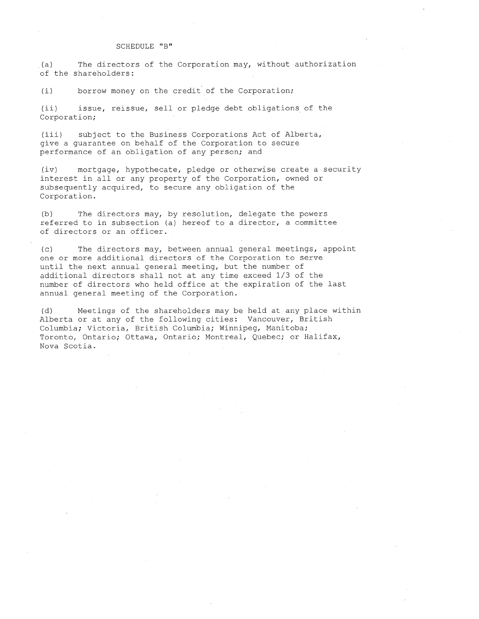#### SCHEDULE "B"

(a) The directors of the Corporation may, without authorization of the shareholders:

(i) borrow money on the credit of the Corporation;

(ii) issue, reissue, sell or pledge debt obligations of the Corporation;

(iii) subject to the Business Corporations Act of Alberta, give a guarantee on behalf of the Corporation to secure performance of an obligation of any person; and

(iv) mortgage, hypothecate, pledge or otherwise create a security interest in all or any property of the Corporation, owned or subsequently acquired, to secure any obligation of the Corporation.

(b) The directors may, by resolution, delegate the powers referred to in subsection (a) hereof to a director, a committee of directors or an officer.

(c) The directors may, between annual general meetings, appoint one or more additional directors of the Corporation to serve until the next annual general meeting, but the number of additional directors shall not at any time exceed 1/3 of the number of directors who held office at the expiration of the last annual general meeting of the Corporation.

(d) Meetings of the shareholders may be held at any place within Alberta or at any of the following cities: Vancouver, British Columbia; Victoria, British Columbia; Winnipeg, Manitoba; Toronto, Ontario; Ottawa, Ontario; Montreal, Quebec; or Halifax, Nova Scotia.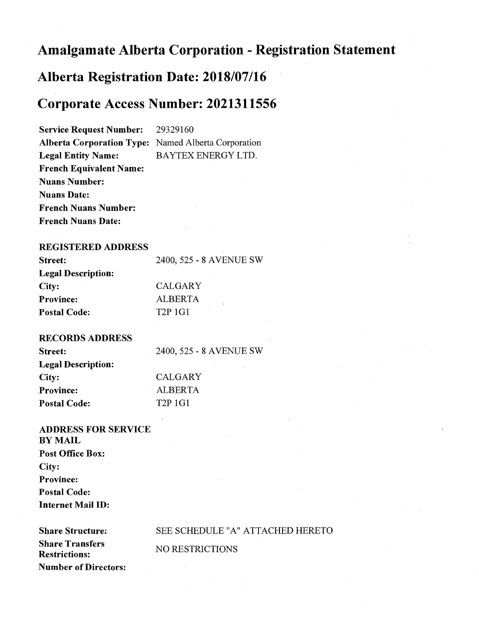# **Amalgamate Alberta Corporation - Registration Statement**

# **Alberta Registration Date: 2018/07/16**

# **Corporate Access Number: 2021311556**

**Service Request Number:** 29329160 **Alberta Corporation Type:** Named Alberta Corporation **Legal Entity Name:** BAYTEX ENERGY LTD. **French Equivalent Name: Nuans Number: Nuans Date: French Nuans Number: French Nuans Date:** 

### **REGISTERED ADDRESS**

| Street:                   | 2400, 525 - 8 AVENUE SW |
|---------------------------|-------------------------|
| <b>Legal Description:</b> |                         |
| City:                     | <b>CALGARY</b>          |
| <b>Province:</b>          | <b>ALBERTA</b>          |
| <b>Postal Code:</b>       | T <sub>2</sub> P 1G1    |

#### **RECORDS ADDRESS**

| 2400, 525 - 8 AVENUE SW         |
|---------------------------------|
|                                 |
| <b>CALGARY</b>                  |
| <b>ALBERTA</b>                  |
| T <sub>2</sub> P <sub>1G1</sub> |
|                                 |

## **ADDRESS FOR SERVICE BY MAIL Post Office Box: City: Province: Postal Code: Internet Mail ID:**

**Share Transfers Restrictions: Number of Directors:** 

#### **Share Structure: SEE SCHEDULE "A" ATTACHED HERETO**

NO RESTRICTIONS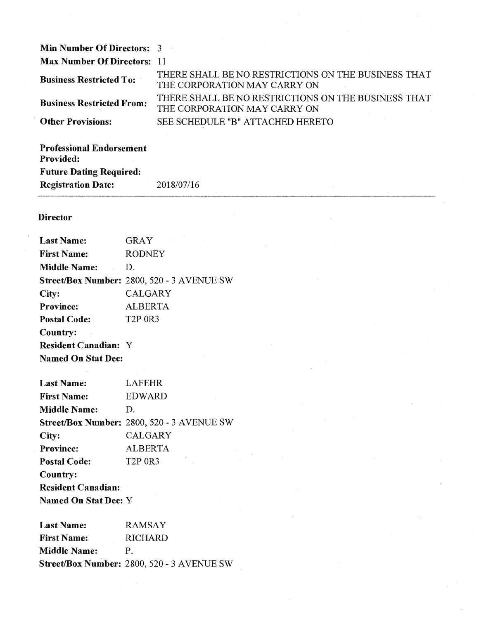| <b>Min Number Of Directors: 3</b>  |                                                                                     |
|------------------------------------|-------------------------------------------------------------------------------------|
| <b>Max Number Of Directors: 11</b> |                                                                                     |
| <b>Business Restricted To:</b>     | THERE SHALL BE NO RESTRICTIONS ON THE BUSINESS THAT<br>THE CORPORATION MAY CARRY ON |
| <b>Business Restricted From:</b>   | THERE SHALL BE NO RESTRICTIONS ON THE BUSINESS THAT<br>THE CORPORATION MAY CARRY ON |
| <b>Other Provisions:</b>           | SEE SCHEDULE "B" ATTACHED HERETO                                                    |
|                                    |                                                                                     |

| <b>Professional Endorsement</b> |            |  |
|---------------------------------|------------|--|
| <b>Provided:</b>                |            |  |
| <b>Future Dating Required:</b>  |            |  |
| <b>Registration Date:</b>       | 2018/07/16 |  |
|                                 |            |  |

### **Director**

| <b>Last Name:</b>           | GRAY                                       |
|-----------------------------|--------------------------------------------|
| <b>First Name:</b>          | <b>RODNEY</b>                              |
| <b>Middle Name:</b>         | D.                                         |
|                             | Street/Box Number: 2800, 520 - 3 AVENUE SW |
| City:                       | <b>CALGARY</b>                             |
| <b>Province:</b>            | <b>ALBERTA</b>                             |
| <b>Postal Code:</b>         | T <sub>2</sub> P <sub>0R3</sub>            |
| Country:                    |                                            |
| <b>Resident Canadian: Y</b> |                                            |
| <b>Named On Stat Dec:</b>   |                                            |

| <b>Last Name:</b>           | <b>LAFEHR</b>                              |
|-----------------------------|--------------------------------------------|
| <b>First Name:</b>          | EDWARD                                     |
| <b>Middle Name:</b>         | D.                                         |
|                             | Street/Box Number: 2800, 520 - 3 AVENUE SW |
| City:                       | <b>CALGARY</b>                             |
| <b>Province:</b>            | <b>ALBERTA</b>                             |
| <b>Postal Code:</b>         | T <sub>2</sub> P <sub>0R3</sub>            |
| Country:                    |                                            |
| <b>Resident Canadian:</b>   |                                            |
| <b>Named On Stat Dec:</b> Y |                                            |

**Last Name:** RAMSAY **First Name:** RICHARD **Middle Name: P. Street/Box Number:** 2800, 520 - 3 AVENUE SW